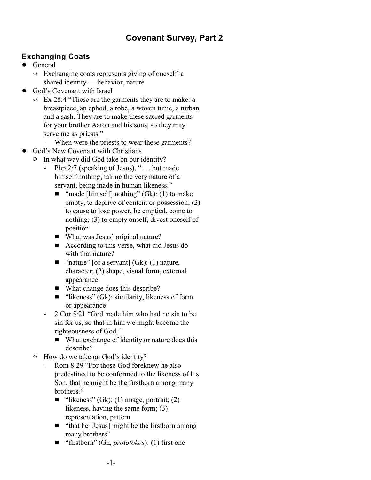## **Covenant Survey, Part 2**

## **Exchanging Coats**

- ! General
	- $\circ$  Exchanging coats represents giving of oneself, a shared identity — behavior, nature
- God's Covenant with Israel
	- $\degree$  Ex 28:4 "These are the garments they are to make: a breastpiece, an ephod, a robe, a woven tunic, a turban and a sash. They are to make these sacred garments for your brother Aaron and his sons, so they may serve me as priests."
		- When were the priests to wear these garments?
- God's New Covenant with Christians
	- $\circ$  In what way did God take on our identity?
		- Php 2:7 (speaking of Jesus), "... but made himself nothing, taking the very nature of a servant, being made in human likeness."
			- $\blacksquare$  "made [himself] nothing" (Gk): (1) to make empty, to deprive of content or possession; (2) to cause to lose power, be emptied, come to nothing; (3) to empty onself, divest oneself of position
			- What was Jesus' original nature?
			- $\blacksquare$  According to this verse, what did Jesus do with that nature?
			- $\blacksquare$  "nature" [of a servant] (Gk): (1) nature, character; (2) shape, visual form, external appearance
			- $\blacksquare$  What change does this describe?
			- $\blacksquare$  "likeness" (Gk): similarity, likeness of form or appearance
		- 2 Cor 5:21 "God made him who had no sin to be sin for us, so that in him we might become the righteousness of God."
			- What exchange of identity or nature does this describe?
	- $\circ$  How do we take on God's identity?
		- Rom 8:29 "For those God foreknew he also predestined to be conformed to the likeness of his Son, that he might be the firstborn among many brothers."
			- $\blacksquare$  "likeness" (Gk): (1) image, portrait; (2) likeness, having the same form; (3) representation, pattern
			- $\blacksquare$  "that he [Jesus] might be the firstborn among many brothers"
			- "firstborn" (Gk, *prototokos*): (1) first one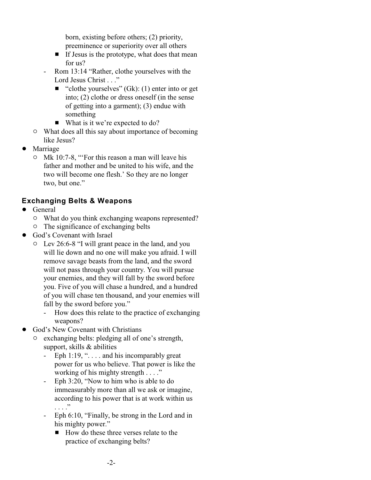born, existing before others; (2) priority, preeminence or superiority over all others

- $\blacksquare$  If Jesus is the prototype, what does that mean for us?
- Rom 13:14 "Rather, clothe yourselves with the Lord Jesus Christ . . ."
	- $\blacksquare$  "clothe yourselves" (Gk): (1) enter into or get into; (2) clothe or dress oneself (in the sense of getting into a garment); (3) endue with something
	- $\blacksquare$  What is it we're expected to do?
- $\circ$  What does all this say about importance of becoming like Jesus?
- **Marriage** 
	- o Mk 10:7-8, "'For this reason a man will leave his father and mother and be united to his wife, and the two will become one flesh.' So they are no longer two, but one."

## **Exchanging Belts & Weapons**

- General
	- $\circ$  What do you think exchanging weapons represented?
	- $\circ$  The significance of exchanging belts
- ! God's Covenant with Israel
	- " Lev 26:6-8 "I will grant peace in the land, and you will lie down and no one will make you afraid. I will remove savage beasts from the land, and the sword will not pass through your country. You will pursue your enemies, and they will fall by the sword before you. Five of you will chase a hundred, and a hundred of you will chase ten thousand, and your enemies will fall by the sword before you."
		- How does this relate to the practice of exchanging weapons?
- God's New Covenant with Christians
	- exchanging belts: pledging all of one's strength, support, skills & abilities
		- Eph 1:19, " $\dots$  and his incomparably great power for us who believe. That power is like the working of his mighty strength . . . ."
		- Eph 3:20, "Now to him who is able to do immeasurably more than all we ask or imagine, according to his power that is at work within us . . . ."
		- Eph 6:10, "Finally, be strong in the Lord and in his mighty power."
			- $\blacksquare$  How do these three verses relate to the practice of exchanging belts?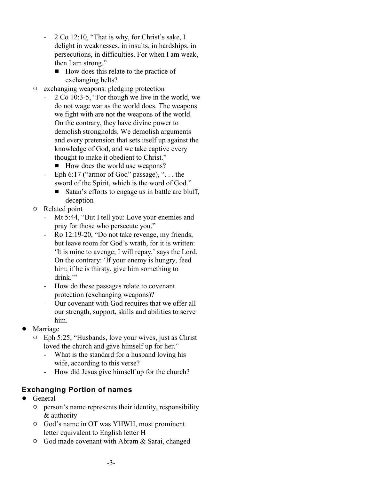- 2 Co 12:10, "That is why, for Christ's sake, I delight in weaknesses, in insults, in hardships, in persecutions, in difficulties. For when I am weak, then I am strong."
	- $\blacksquare$  How does this relate to the practice of exchanging belts?
- $\circ$  exchanging weapons: pledging protection
	- 2 Co 10:3-5, "For though we live in the world, we do not wage war as the world does. The weapons we fight with are not the weapons of the world. On the contrary, they have divine power to demolish strongholds. We demolish arguments and every pretension that sets itself up against the knowledge of God, and we take captive every thought to make it obedient to Christ."
		- $\blacksquare$  How does the world use weapons?
	- Eph 6:17 ("armor of God" passage), " $\dots$  the sword of the Spirit, which is the word of God."
		- **Example 3** Satan's efforts to engage us in battle are bluff, deception
- $\circ$  Related point
	- Mt 5:44, "But I tell you: Love your enemies and pray for those who persecute you."
	- Ro 12:19-20, "Do not take revenge, my friends, but leave room for God's wrath, for it is written: 'It is mine to avenge; I will repay,' says the Lord. On the contrary: 'If your enemy is hungry, feed him; if he is thirsty, give him something to drink."
	- How do these passages relate to covenant protection (exchanging weapons)?
	- Our covenant with God requires that we offer all our strength, support, skills and abilities to serve him.
- **Marriage** 
	- $\circ$  Eph 5:25, "Husbands, love your wives, just as Christ loved the church and gave himself up for her."
		- What is the standard for a husband loving his wife, according to this verse?
		- How did Jesus give himself up for the church?

## **Exchanging Portion of names**

- General
	- $\circ$  person's name represents their identity, responsibility & authority
	- $\circ$  God's name in OT was YHWH, most prominent letter equivalent to English letter H
	- <sup>o</sup> God made covenant with Abram & Sarai, changed